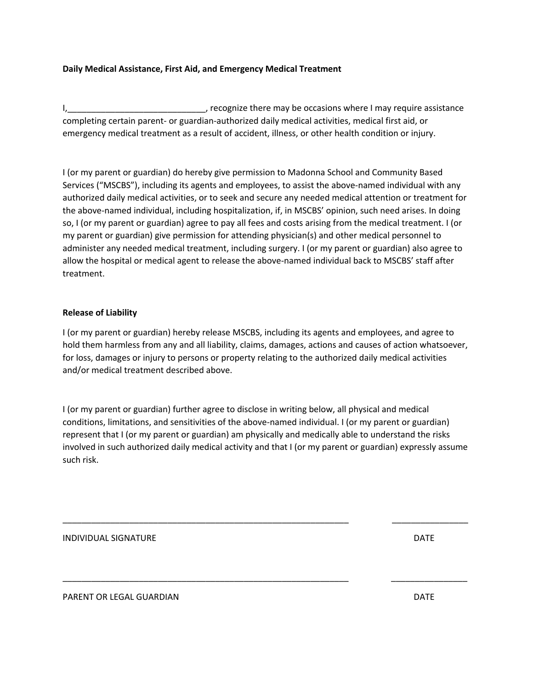## **Daily Medical Assistance, First Aid, and Emergency Medical Treatment**

I, Let the may be occasions where I may require assistance in the set of the cognize there may be occasions where I may require assistance completing certain parent- or guardian-authorized daily medical activities, medical first aid, or emergency medical treatment as a result of accident, illness, or other health condition or injury.

I (or my parent or guardian) do hereby give permission to Madonna School and Community Based Services ("MSCBS"), including its agents and employees, to assist the above-named individual with any authorized daily medical activities, or to seek and secure any needed medical attention or treatment for the above-named individual, including hospitalization, if, in MSCBS' opinion, such need arises. In doing so, I (or my parent or guardian) agree to pay all fees and costs arising from the medical treatment. I (or my parent or guardian) give permission for attending physician(s) and other medical personnel to administer any needed medical treatment, including surgery. I (or my parent or guardian) also agree to allow the hospital or medical agent to release the above-named individual back to MSCBS' staff after treatment.

## **Release of Liability**

I (or my parent or guardian) hereby release MSCBS, including its agents and employees, and agree to hold them harmless from any and all liability, claims, damages, actions and causes of action whatsoever, for loss, damages or injury to persons or property relating to the authorized daily medical activities and/or medical treatment described above.

I (or my parent or guardian) further agree to disclose in writing below, all physical and medical conditions, limitations, and sensitivities of the above-named individual. I (or my parent or guardian) represent that I (or my parent or guardian) am physically and medically able to understand the risks involved in such authorized daily medical activity and that I (or my parent or guardian) expressly assume such risk.

\_\_\_\_\_\_\_\_\_\_\_\_\_\_\_\_\_\_\_\_\_\_\_\_\_\_\_\_\_\_\_\_\_\_\_\_\_\_\_\_\_\_\_\_\_\_\_\_\_\_\_\_\_\_\_\_\_\_\_\_ \_\_\_\_\_\_\_\_\_\_\_\_\_\_\_\_

\_\_\_\_\_\_\_\_\_\_\_\_\_\_\_\_\_\_\_\_\_\_\_\_\_\_\_\_\_\_\_\_\_\_\_\_\_\_\_\_\_\_\_\_\_\_\_\_\_\_\_\_\_\_\_\_\_\_\_\_ \_\_\_\_\_\_\_\_\_\_\_\_\_\_\_\_

INDIVIDUAL SIGNATURE DATE

PARENT OR LEGAL GUARDIAN DATE AND A SERIES OF THE SERIES OF THE SAME OF THE SERIES OF THE SERIES OF THE SERIES